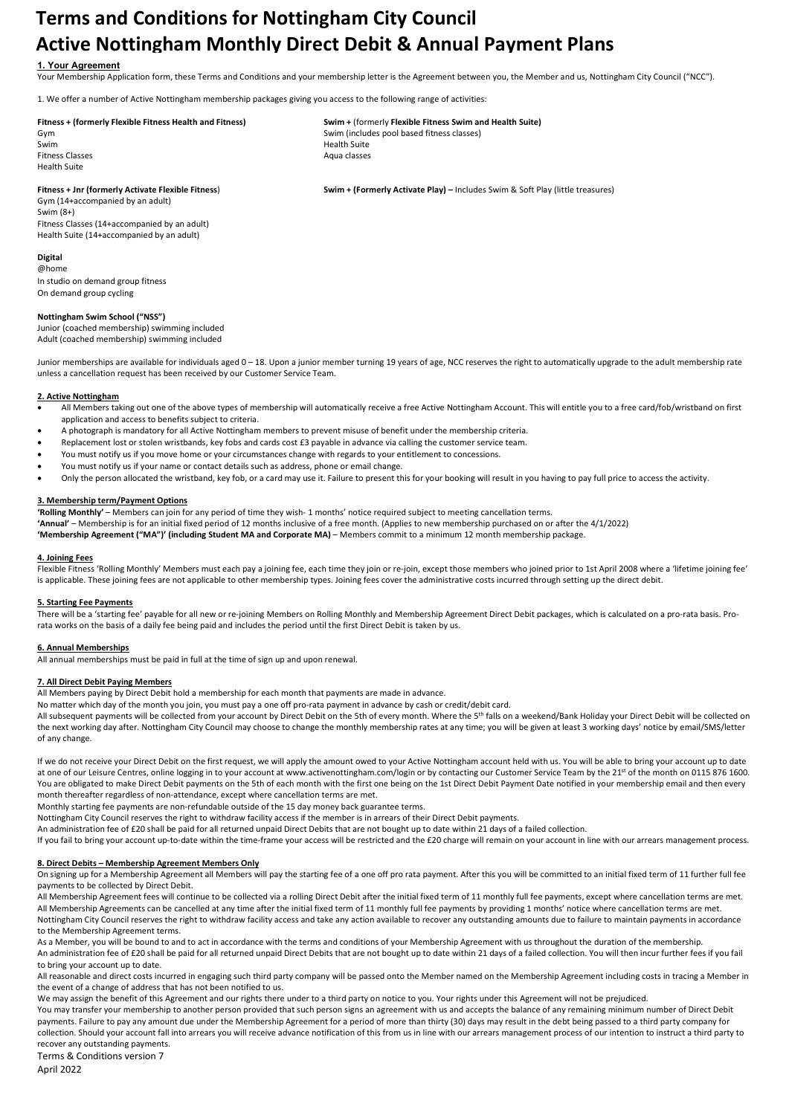# Terms and Conditions for Nottingham City Council Active Nottingham Monthly Direct Debit & Annual Payment Plans

# 1. Your Agreement

Your Membership Application form, these Terms and Conditions and your membership letter is the Agreement between you, the Member and us, Nottingham City Council ("NCC").

1. We offer a number of Active Nottingham membership packages giving you access to the following range of activities:

## Fitness + (formerly Flexible Fitness Health and Fitness) Swim + (formerly Flexible Fitness Swim and Health Suite)

Swim Health Suite<br>Swim Health Suite Fitness Classes **Aqua classes** Aqua classes Aqua classes Aqua classes Aqua classes Health Suite

Gym Swim (includes pool based fitness classes)<br>Swim Swim Health Suite

Fitness + Jnr (formerly Activate Flexible Fitness) Swim + (Formerly Activate Play) – Includes Swim & Soft Play (little treasures)

Gym (14+accompanied by an adult) Swim (8+) Fitness Classes (14+accompanied by an adult) Health Suite (14+accompanied by an adult)

#### Digital @home

In studio on demand group fitness On demand group cycling

#### Nottingham Swim School ("NSS")

Junior (coached membership) swimming included Adult (coached membership) swimming included

Junior memberships are available for individuals aged 0 – 18. Upon a junior member turning 19 years of age, NCC reserves the right to automatically upgrade to the adult membership rate unless a cancellation request has been received by our Customer Service Team.

## 2. Active Nottingham

- All Members taking out one of the above types of membership will automatically receive a free Active Nottingham Account. This will entitle you to a free card/fob/wristband on first application and access to benefits subject to criteria.
- A photograph is mandatory for all Active Nottingham members to prevent misuse of benefit under the membership criteria.
- Replacement lost or stolen wristbands, key fobs and cards cost £3 payable in advance via calling the customer service team.
- You must notify us if you move home or your circumstances change with regards to your entitlement to concessions.
- You must notify us if your name or contact details such as address, phone or email change.
- Only the person allocated the wristband, key fob, or a card may use it. Failure to present this for your booking will result in you having to pay full price to access the activity.

#### 3. Membership term/Payment Options

'Rolling Monthly' – Members can join for any period of time they wish- 1 months' notice required subject to meeting cancellation terms.

'Annual' – Membership is for an initial fixed period of 12 months inclusive of a free month. (Applies to new membership purchased on or after the 4/1/2022)

'Membership Agreement ("MA")' (including Student MA and Corporate MA) – Members commit to a minimum 12 month membership package.

#### 4. Joining Fees

Flexible Fitness 'Rolling Monthly' Members must each pay a joining fee, each time they join or re-join, except those members who joined prior to 1st April 2008 where a 'lifetime joining fee' is applicable. These joining fees are not applicable to other membership types. Joining fees cover the administrative costs incurred through setting up the direct debit.

#### 5. Starting Fee Payments

There will be a 'starting fee' payable for all new or re-joining Members on Rolling Monthly and Membership Agreement Direct Debit packages, which is calculated on a pro-rata basis. Prorata works on the basis of a daily fee being paid and includes the period until the first Direct Debit is taken by us.

#### 6. Annual Memberships

All annual memberships must be paid in full at the time of sign up and upon renewal.

## 7. All Direct Debit Paying Members

All Members paying by Direct Debit hold a membership for each month that payments are made in advance.

No matter which day of the month you join, you must pay a one off pro-rata payment in advance by cash or credit/debit card.

All subsequent payments will be collected from your account by Direct Debit on the 5th of every month. Where the 5<sup>th</sup> falls on a weekend/Bank Holiday your Direct Debit will be collected on the next working day after. Nottingham City Council may choose to change the monthly membership rates at any time; you will be given at least 3 working days' notice by email/SMS/letter of any change.

If we do not receive your Direct Debit on the first request, we will apply the amount owed to your Active Nottingham account held with us. You will be able to bring your account up to date at one of our Leisure Centres, online logging in to your account at www.activenottingham.com/login or by contacting our Customer Service Team by the 21st of the month on 0115 876 1600. You are obligated to make Direct Debit payments on the 5th of each month with the first one being on the 1st Direct Debit Payment Date notified in your membership email and then every month thereafter regardless of non-attendance, except where cancellation terms are met.

Monthly starting fee payments are non-refundable outside of the 15 day money back guarantee terms.

Nottingham City Council reserves the right to withdraw facility access if the member is in arrears of their Direct Debit payments.

An administration fee of £20 shall be paid for all returned unpaid Direct Debits that are not bought up to date within 21 days of a failed collection.

If you fail to bring your account up-to-date within the time-frame your access will be restricted and the £20 charge will remain on your account in line with our arrears management process.

## 8. Direct Debits – Membership Agreement Members Only

On signing up for a Membership Agreement all Members will pay the starting fee of a one off pro rata payment. After this you will be committed to an initial fixed term of 11 further full fee payments to be collected by Direct Debit.

All Membership Agreement fees will continue to be collected via a rolling Direct Debit after the initial fixed term of 11 monthly full fee payments, except where cancellation terms are met. All Membership Agreements can be cancelled at any time after the initial fixed term of 11 monthly full fee payments by providing 1 months' notice where cancellation terms are met. Nottingham City Council reserves the right to withdraw facility access and take any action available to recover any outstanding amounts due to failure to maintain payments in accordance to the Membership Agreement terms.

As a Member, you will be bound to and to act in accordance with the terms and conditions of your Membership Agreement with us throughout the duration of the membership.

An administration fee of £20 shall be paid for all returned unpaid Direct Debits that are not bought up to date within 21 days of a failed collection. You will then incur further fees if you fail to bring your account up to date.

All reasonable and direct costs incurred in engaging such third party company will be passed onto the Member named on the Membership Agreement including costs in tracing a Member in the event of a change of address that has not been notified to us.

We may assign the benefit of this Agreement and our rights there under to a third party on notice to you. Your rights under this Agreement will not be prejudiced.

You may transfer your membership to another person provided that such person signs an agreement with us and accepts the balance of any remaining minimum number of Direct Debit payments. Failure to pay any amount due under the Membership Agreement for a period of more than thirty (30) days may result in the debt being passed to a third party company for collection. Should your account fall into arrears you will receive advance notification of this from us in line with our arrears management process of our intention to instruct a third party to recover any outstanding payments.

Terms & Conditions version 7